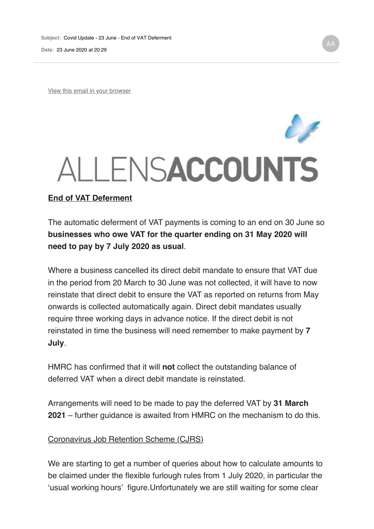**Date:** 23 June 2020 at 20:29

View this email in your browser

## ALLENSACCOUNTS

## **End of VAT Deferment**

The automatic deferment of VAT payments is coming to an end on 30 June so **businesses who owe VAT for the quarter ending on 31 May 2020 will need to pay by 7 July 2020 as usual**.

Where a business cancelled its direct debit mandate to ensure that VAT due in the period from 20 March to 30 June was not collected, it will have to now reinstate that direct debit to ensure the VAT as reported on returns from May onwards is collected automatically again. Direct debit mandates usually require three working days in advance notice. If the direct debit is not reinstated in time the business will need remember to make payment by **7 July**.

HMRC has confirmed that it will **not** collect the outstanding balance of deferred VAT when a direct debit mandate is reinstated.

Arrangements will need to be made to pay the deferred VAT by **31 March 2021** – further guidance is awaited from HMRC on the mechanism to do this.

## Coronavirus Job Retention Scheme (CJRS)

We are starting to get a number of queries about how to calculate amounts to be claimed under the flexible furlough rules from 1 July 2020, in particular the 'usual working hours' figure.Unfortunately we are still waiting for some clear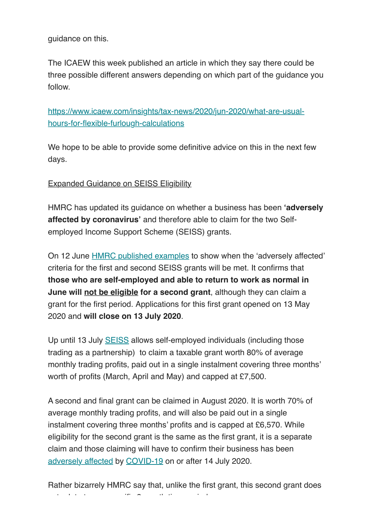guidance on this.

The ICAEW this week published an article in which they say there could be three possible different answers depending on which part of the guidance you follow.

https://www.icaew.com/insights/tax-news/2020/jun-2020/what-are-usualhours-for-flexible-furlough-calculations

We hope to be able to provide some definitive advice on this in the next few days.

## Expanded Guidance on SEISS Eligibility

HMRC has updated its guidance on whether a business has been **'adversely affected by coronavirus'** and therefore able to claim for the two Selfemployed Income Support Scheme (SEISS) grants.

On 12 June HMRC published examples to show when the 'adversely affected' criteria for the first and second SEISS grants will be met. It confirms that **those who are self-employed and able to return to work as normal in June will not be eligible for a second grant**, although they can claim a grant for the first period. Applications for this first grant opened on 13 May 2020 and **will close on 13 July 2020**.

Up until 13 July SEISS allows self-employed individuals (including those trading as a partnership) to claim a taxable grant worth 80% of average monthly trading profits, paid out in a single instalment covering three months' worth of profits (March, April and May) and capped at £7,500.

A second and final grant can be claimed in August 2020. It is worth 70% of average monthly trading profits, and will also be paid out in a single instalment covering three months' profits and is capped at £6,570. While eligibility for the second grant is the same as the first grant, it is a separate claim and those claiming will have to confirm their business has been adversely affected by COVID-19 on or after 14 July 2020.

Rather bizarrely HMRC say that, unlike the first grant, this second grant does not relate to any specific 3 month time period.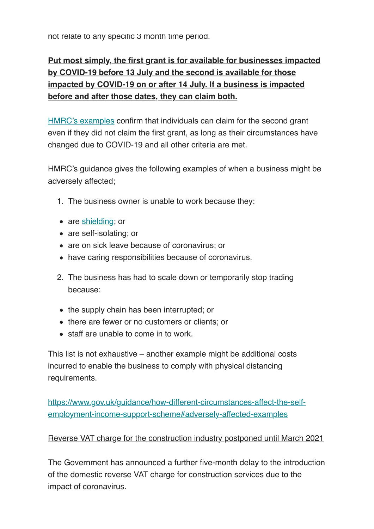not relate to any specific 3 month time period.

**Put most simply, the first grant is for available for businesses impacted by COVID-19 before 13 July and the second is available for those impacted by COVID-19 on or after 14 July. If a business is impacted before and after those dates, they can claim both.**

HMRC's examples confirm that individuals can claim for the second grant even if they did not claim the first grant, as long as their circumstances have changed due to COVID-19 and all other criteria are met.

HMRC's guidance gives the following examples of when a business might be adversely affected;

- 1. The business owner is unable to work because they:
- are shielding; or
- are self-isolating; or
- are on sick leave because of coronavirus; or
- have caring responsibilities because of coronavirus.
- 2. The business has had to scale down or temporarily stop trading because:
- the supply chain has been interrupted; or
- there are fewer or no customers or clients; or
- staff are unable to come in to work.

This list is not exhaustive – another example might be additional costs incurred to enable the business to comply with physical distancing requirements.

https://www.gov.uk/guidance/how-different-circumstances-affect-the-selfemployment-income-support-scheme#adversely-affected-examples

Reverse VAT charge for the construction industry postponed until March 2021

The Government has announced a further five-month delay to the introduction of the domestic reverse VAT charge for construction services due to the impact of coronavirus.